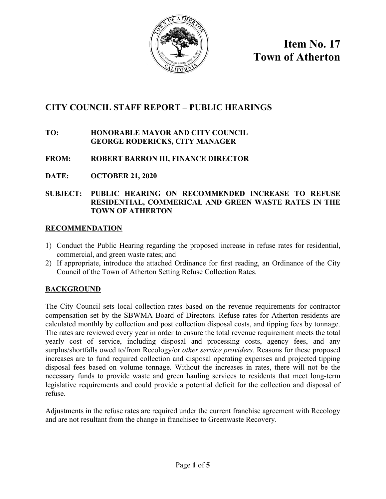

**Item No. 17 Town of Atherton**

## **CITY COUNCIL STAFF REPORT – PUBLIC HEARINGS**

### **TO: HONORABLE MAYOR AND CITY COUNCIL GEORGE RODERICKS, CITY MANAGER**

## **FROM: ROBERT BARRON III, FINANCE DIRECTOR**

**DATE: OCTOBER 21, 2020**

#### **SUBJECT: PUBLIC HEARING ON RECOMMENDED INCREASE TO REFUSE RESIDENTIAL, COMMERICAL AND GREEN WASTE RATES IN THE TOWN OF ATHERTON**

#### **RECOMMENDATION**

- 1) Conduct the Public Hearing regarding the proposed increase in refuse rates for residential, commercial, and green waste rates; and
- 2) If appropriate, introduce the attached Ordinance for first reading, an Ordinance of the City Council of the Town of Atherton Setting Refuse Collection Rates.

#### **BACKGROUND**

The City Council sets local collection rates based on the revenue requirements for contractor compensation set by the SBWMA Board of Directors. Refuse rates for Atherton residents are calculated monthly by collection and post collection disposal costs, and tipping fees by tonnage. The rates are reviewed every year in order to ensure the total revenue requirement meets the total yearly cost of service, including disposal and processing costs, agency fees, and any surplus/shortfalls owed to/from Recology/or *other service providers*. Reasons for these proposed increases are to fund required collection and disposal operating expenses and projected tipping disposal fees based on volume tonnage. Without the increases in rates, there will not be the necessary funds to provide waste and green hauling services to residents that meet long-term legislative requirements and could provide a potential deficit for the collection and disposal of refuse.

Adjustments in the refuse rates are required under the current franchise agreement with Recology and are not resultant from the change in franchisee to Greenwaste Recovery.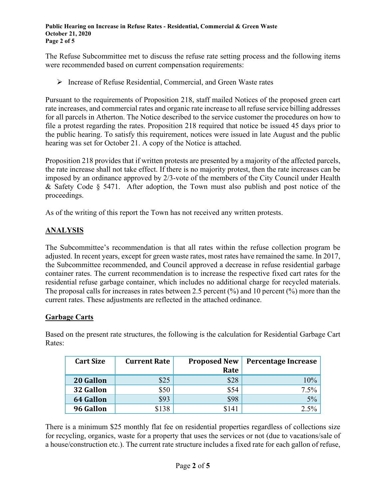**Public Hearing on Increase in Refuse Rates - Residential, Commercial & Green Waste October 21, 2020 Page 2 of 5**

The Refuse Subcommittee met to discuss the refuse rate setting process and the following items were recommended based on current compensation requirements:

Increase of Refuse Residential, Commercial, and Green Waste rates

Pursuant to the requirements of Proposition 218, staff mailed Notices of the proposed green cart rate increases, and commercial rates and organic rate increase to all refuse service billing addresses for all parcels in Atherton. The Notice described to the service customer the procedures on how to file a protest regarding the rates. Proposition 218 required that notice be issued 45 days prior to the public hearing. To satisfy this requirement, notices were issued in late August and the public hearing was set for October 21. A copy of the Notice is attached.

Proposition 218 provides that if written protests are presented by a majority of the affected parcels, the rate increase shall not take effect. If there is no majority protest, then the rate increases can be imposed by an ordinance approved by 2/3-vote of the members of the City Council under Health & Safety Code § 5471. After adoption, the Town must also publish and post notice of the proceedings.

As of the writing of this report the Town has not received any written protests.

## **ANALYSIS**

The Subcommittee's recommendation is that all rates within the refuse collection program be adjusted. In recent years, except for green waste rates, most rates have remained the same. In 2017, the Subcommittee recommended, and Council approved a decrease in refuse residential garbage container rates. The current recommendation is to increase the respective fixed cart rates for the residential refuse garbage container, which includes no additional charge for recycled materials. The proposal calls for increases in rates between 2.5 percent (%) and 10 percent (%) more than the current rates. These adjustments are reflected in the attached ordinance.

#### **Garbage Carts**

Based on the present rate structures, the following is the calculation for Residential Garbage Cart Rates:

| <b>Cart Size</b> | <b>Current Rate</b> | <b>Proposed New</b><br>Rate | Percentage Increase |
|------------------|---------------------|-----------------------------|---------------------|
| 20 Gallon        | \$25                | \$28                        | 10%                 |
| 32 Gallon        | \$50                | \$54                        | 7.5%                |
| <b>64 Gallon</b> | \$93                | \$98                        | 5%                  |
| 96 Gallon        | \$138               | \$141                       | 2.5%                |

There is a minimum \$25 monthly flat fee on residential properties regardless of collections size for recycling, organics, waste for a property that uses the services or not (due to vacations/sale of a house/construction etc.). The current rate structure includes a fixed rate for each gallon of refuse,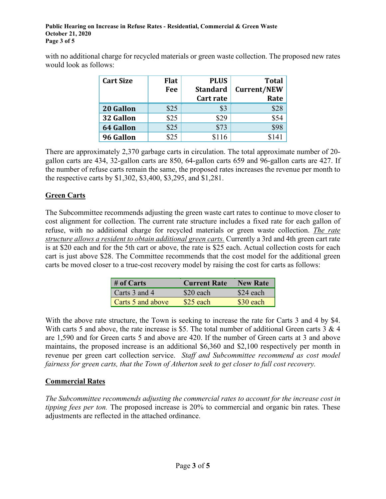with no additional charge for recycled materials or green waste collection. The proposed new rates would look as follows:

| <b>Cart Size</b> | <b>Flat</b> | <b>PLUS</b>     | <b>Total</b>       |
|------------------|-------------|-----------------|--------------------|
|                  | Fee         | <b>Standard</b> | <b>Current/NEW</b> |
|                  |             | Cart rate       | Rate               |
| 20 Gallon        | \$25        | \$3             | \$28               |
| 32 Gallon        | \$25        | \$29            | \$54               |
| <b>64 Gallon</b> | \$25        | \$73            | \$98               |
| 96 Gallon        | R25         | \$116           | \$141              |

There are approximately 2,370 garbage carts in circulation. The total approximate number of 20 gallon carts are 434, 32-gallon carts are 850, 64-gallon carts 659 and 96-gallon carts are 427. If the number of refuse carts remain the same, the proposed rates increases the revenue per month to the respective carts by \$1,302, \$3,400, \$3,295, and \$1,281.

## **Green Carts**

The Subcommittee recommends adjusting the green waste cart rates to continue to move closer to cost alignment for collection. The current rate structure includes a fixed rate for each gallon of refuse, with no additional charge for recycled materials or green waste collection. *The rate structure allows a resident to obtain additional green carts.* Currently a 3rd and 4th green cart rate is at \$20 each and for the 5th cart or above, the rate is \$25 each. Actual collection costs for each cart is just above \$28. The Committee recommends that the cost model for the additional green carts be moved closer to a true-cost recovery model by raising the cost for carts as follows:

| $#$ of Carts      | <b>Current Rate</b> | <b>New Rate</b> |
|-------------------|---------------------|-----------------|
| Carts 3 and 4     | \$20 each           | \$24 each       |
| Carts 5 and above | $$25$ each          | \$30 each       |

With the above rate structure, the Town is seeking to increase the rate for Carts 3 and 4 by \$4. With carts 5 and above, the rate increase is \$5. The total number of additional Green carts 3 & 4 are 1,590 and for Green carts 5 and above are 420. If the number of Green carts at 3 and above maintains, the proposed increase is an additional \$6,360 and \$2,100 respectively per month in revenue per green cart collection service. *Staff and Subcommittee recommend as cost model fairness for green carts, that the Town of Atherton seek to get closer to full cost recovery.*

## **Commercial Rates**

*The Subcommittee recommends adjusting the commercial rates to account for the increase cost in tipping fees per ton.* The proposed increase is 20% to commercial and organic bin rates. These adjustments are reflected in the attached ordinance.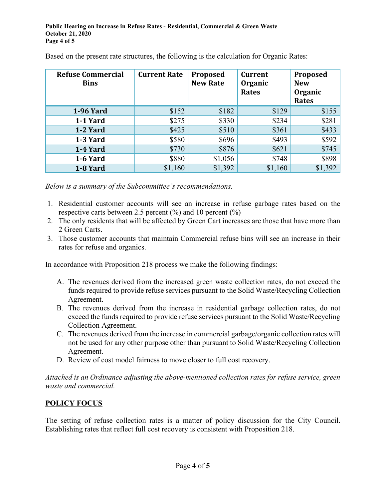| <b>Refuse Commercial</b><br><b>Bins</b> | <b>Current Rate</b> | Proposed<br><b>New Rate</b> | <b>Current</b><br>Organic<br><b>Rates</b> | Proposed<br><b>New</b><br>Organic<br><b>Rates</b> |
|-----------------------------------------|---------------------|-----------------------------|-------------------------------------------|---------------------------------------------------|
| <b>1-96 Yard</b>                        | \$152               | \$182                       | \$129                                     | \$155                                             |
| 1-1 Yard                                | \$275               | \$330                       | \$234                                     | \$281                                             |
| 1-2 Yard                                | \$425               | \$510                       | \$361                                     | \$433                                             |
| 1-3 Yard                                | \$580               | \$696                       | \$493                                     | \$592                                             |
| 1-4 Yard                                | \$730               | \$876                       | \$621                                     | \$745                                             |
| 1-6 Yard                                | \$880               | \$1,056                     | \$748                                     | \$898                                             |
| 1-8 Yard                                | \$1,160             | \$1,392                     | \$1,160                                   | \$1,392                                           |

Based on the present rate structures, the following is the calculation for Organic Rates:

*Below is a summary of the Subcommittee's recommendations.*

- 1. Residential customer accounts will see an increase in refuse garbage rates based on the respective carts between 2.5 percent  $(\%)$  and 10 percent  $(\%)$
- 2. The only residents that will be affected by Green Cart increases are those that have more than 2 Green Carts.
- 3. Those customer accounts that maintain Commercial refuse bins will see an increase in their rates for refuse and organics.

In accordance with Proposition 218 process we make the following findings:

- A. The revenues derived from the increased green waste collection rates, do not exceed the funds required to provide refuse services pursuant to the Solid Waste/Recycling Collection Agreement.
- B. The revenues derived from the increase in residential garbage collection rates, do not exceed the funds required to provide refuse services pursuant to the Solid Waste/Recycling Collection Agreement.
- C. The revenues derived from the increase in commercial garbage/organic collection rates will not be used for any other purpose other than pursuant to Solid Waste/Recycling Collection Agreement.
- D. Review of cost model fairness to move closer to full cost recovery.

*Attached is an Ordinance adjusting the above-mentioned collection rates for refuse service, green waste and commercial.*

## **POLICY FOCUS**

The setting of refuse collection rates is a matter of policy discussion for the City Council. Establishing rates that reflect full cost recovery is consistent with Proposition 218.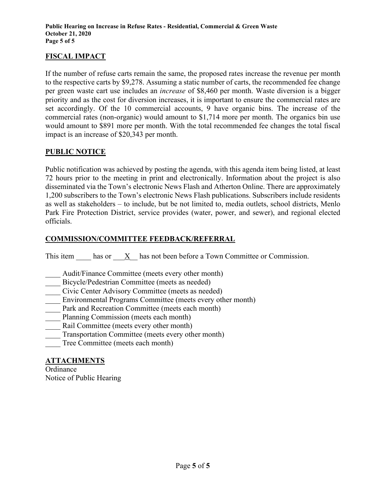## **FISCAL IMPACT**

If the number of refuse carts remain the same, the proposed rates increase the revenue per month to the respective carts by \$9,278. Assuming a static number of carts, the recommended fee change per green waste cart use includes an *increase* of \$8,460 per month. Waste diversion is a bigger priority and as the cost for diversion increases, it is important to ensure the commercial rates are set accordingly. Of the 10 commercial accounts, 9 have organic bins. The increase of the commercial rates (non-organic) would amount to \$1,714 more per month. The organics bin use would amount to \$891 more per month. With the total recommended fee changes the total fiscal impact is an increase of \$20,343 per month.

## **PUBLIC NOTICE**

Public notification was achieved by posting the agenda, with this agenda item being listed, at least 72 hours prior to the meeting in print and electronically. Information about the project is also disseminated via the Town's electronic News Flash and Atherton Online. There are approximately 1,200 subscribers to the Town's electronic News Flash publications. Subscribers include residents as well as stakeholders – to include, but be not limited to, media outlets, school districts, Menlo Park Fire Protection District, service provides (water, power, and sewer), and regional elected officials.

## **COMMISSION/COMMITTEE FEEDBACK/REFERRAL**

This item has or X has not been before a Town Committee or Commission.

- Audit/Finance Committee (meets every other month)
- Bicycle/Pedestrian Committee (meets as needed)
- Civic Center Advisory Committee (meets as needed)
- Environmental Programs Committee (meets every other month)
- Park and Recreation Committee (meets each month)
- Planning Commission (meets each month)
- Rail Committee (meets every other month)
- Transportation Committee (meets every other month)
- Tree Committee (meets each month)

#### **ATTACHMENTS**

**Ordinance** Notice of Public Hearing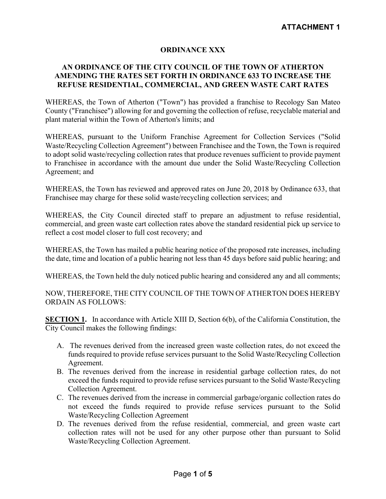#### **ORDINANCE XXX**

#### **AN ORDINANCE OF THE CITY COUNCIL OF THE TOWN OF ATHERTON AMENDING THE RATES SET FORTH IN ORDINANCE 633 TO INCREASE THE REFUSE RESIDENTIAL, COMMERCIAL, AND GREEN WASTE CART RATES**

WHEREAS, the Town of Atherton ("Town") has provided a franchise to Recology San Mateo County ("Franchisee") allowing for and governing the collection of refuse, recyclable material and plant material within the Town of Atherton's limits; and

WHEREAS, pursuant to the Uniform Franchise Agreement for Collection Services ("Solid Waste/Recycling Collection Agreement") between Franchisee and the Town, the Town is required to adopt solid waste/recycling collection rates that produce revenues sufficient to provide payment to Franchisee in accordance with the amount due under the Solid Waste/Recycling Collection Agreement; and

WHEREAS, the Town has reviewed and approved rates on June 20, 2018 by Ordinance 633, that Franchisee may charge for these solid waste/recycling collection services; and

WHEREAS, the City Council directed staff to prepare an adjustment to refuse residential, commercial, and green waste cart collection rates above the standard residential pick up service to reflect a cost model closer to full cost recovery; and

WHEREAS, the Town has mailed a public hearing notice of the proposed rate increases, including the date, time and location of a public hearing not less than 45 days before said public hearing; and

WHEREAS, the Town held the duly noticed public hearing and considered any and all comments;

NOW, THEREFORE, THE CITY COUNCIL OF THE TOWN OF ATHERTON DOES HEREBY ORDAIN AS FOLLOWS:

**SECTION 1.** In accordance with Article XIII D, Section 6(b), of the California Constitution, the City Council makes the following findings:

- A. The revenues derived from the increased green waste collection rates, do not exceed the funds required to provide refuse services pursuant to the Solid Waste/Recycling Collection Agreement.
- B. The revenues derived from the increase in residential garbage collection rates, do not exceed the funds required to provide refuse services pursuant to the Solid Waste/Recycling Collection Agreement.
- C. The revenues derived from the increase in commercial garbage/organic collection rates do not exceed the funds required to provide refuse services pursuant to the Solid Waste/Recycling Collection Agreement
- D. The revenues derived from the refuse residential, commercial, and green waste cart collection rates will not be used for any other purpose other than pursuant to Solid Waste/Recycling Collection Agreement.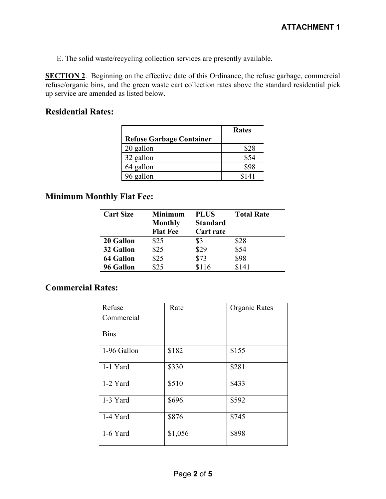E. The solid waste/recycling collection services are presently available.

**SECTION 2**. Beginning on the effective date of this Ordinance, the refuse garbage, commercial refuse/organic bins, and the green waste cart collection rates above the standard residential pick up service are amended as listed below.

## **Residential Rates:**

|                                 | <b>Rates</b> |
|---------------------------------|--------------|
| <b>Refuse Garbage Container</b> |              |
| 20 gallon                       | \$28         |
| 32 gallon                       | \$54         |
| 64 gallon                       | 898          |
| 96 gallon                       | \$141        |

## **Minimum Monthly Flat Fee:**

| <b>Cart Size</b> | Minimum         | <b>PLUS</b>      | <b>Total Rate</b> |
|------------------|-----------------|------------------|-------------------|
|                  | <b>Monthly</b>  | <b>Standard</b>  |                   |
|                  | <b>Flat Fee</b> | <b>Cart rate</b> |                   |
| 20 Gallon        | \$25            | \$3              | \$28              |
| 32 Gallon        | \$25            | \$29             | \$54              |
| 64 Gallon        | \$25            | \$73             | \$98              |
| 96 Gallon        | \$25            | \$116            | \$141             |

## **Commercial Rates:**

| Refuse      | Rate    | Organic Rates |
|-------------|---------|---------------|
| Commercial  |         |               |
| <b>Bins</b> |         |               |
| 1-96 Gallon | \$182   | \$155         |
| 1-1 Yard    | \$330   | \$281         |
| 1-2 Yard    | \$510   | \$433         |
| 1-3 Yard    | \$696   | \$592         |
| 1-4 Yard    | \$876   | \$745         |
| 1-6 Yard    | \$1,056 | \$898         |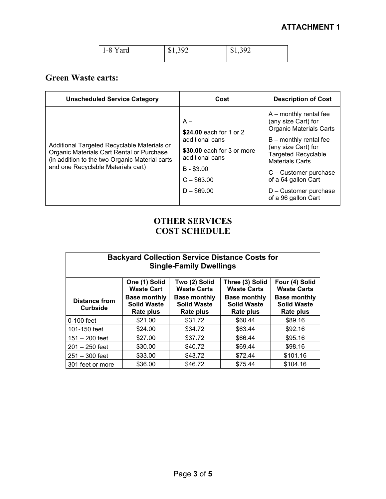| 1-8 Yard | \$1,392 | \$1,392 |
|----------|---------|---------|
|          |         |         |

# **Green Waste carts:**

| <b>Unscheduled Service Category</b>                                                                                                                                              | Cost                                                                                                                                                | <b>Description of Cost</b>                                                                                                                                                                                                                                                                   |
|----------------------------------------------------------------------------------------------------------------------------------------------------------------------------------|-----------------------------------------------------------------------------------------------------------------------------------------------------|----------------------------------------------------------------------------------------------------------------------------------------------------------------------------------------------------------------------------------------------------------------------------------------------|
| Additional Targeted Recyclable Materials or<br>Organic Materials Cart Rental or Purchase<br>(in addition to the two Organic Material carts<br>and one Recyclable Materials cart) | $A -$<br>\$24.00 each for 1 or 2<br>additional cans<br>\$30.00 each for 3 or more<br>additional cans<br>$B - $3.00$<br>$C - $63.00$<br>$D - $69.00$ | $A$ – monthly rental fee<br>(any size Cart) for<br><b>Organic Materials Carts</b><br>$B$ – monthly rental fee<br>(any size Cart) for<br><b>Targeted Recyclable</b><br><b>Materials Carts</b><br>C - Customer purchase<br>of a 64 gallon Cart<br>D - Customer purchase<br>of a 96 gallon Cart |

## **OTHER SERVICES COST SCHEDULE**

| <b>Backyard Collection Service Distance Costs for</b><br><b>Single-Family Dwellings</b> |                                                        |                                                        |                                                        |                                                        |
|-----------------------------------------------------------------------------------------|--------------------------------------------------------|--------------------------------------------------------|--------------------------------------------------------|--------------------------------------------------------|
|                                                                                         | One (1) Solid<br><b>Waste Cart</b>                     | Two (2) Solid<br><b>Waste Carts</b>                    | Three (3) Solid<br><b>Waste Carts</b>                  | Four (4) Solid<br><b>Waste Carts</b>                   |
| <b>Distance from</b><br><b>Curbside</b>                                                 | <b>Base monthly</b><br><b>Solid Waste</b><br>Rate plus | <b>Base monthly</b><br><b>Solid Waste</b><br>Rate plus | <b>Base monthly</b><br><b>Solid Waste</b><br>Rate plus | <b>Base monthly</b><br><b>Solid Waste</b><br>Rate plus |
| $0-100$ feet                                                                            | \$21.00                                                | \$31.72                                                | \$60.44                                                | \$89.16                                                |
| 101-150 feet                                                                            | \$24.00                                                | \$34.72                                                | \$63.44                                                | \$92.16                                                |
| $151 - 200$ feet                                                                        | \$27.00                                                | \$37.72                                                | \$66.44                                                | \$95.16                                                |
| $201 - 250$ feet                                                                        | \$30.00                                                | \$40.72                                                | \$69.44                                                | \$98.16                                                |
| $251 - 300$ feet                                                                        | \$33.00                                                | \$43.72                                                | \$72.44                                                | \$101.16                                               |
| 301 feet or more                                                                        | \$36.00                                                | \$46.72                                                | \$75.44                                                | \$104.16                                               |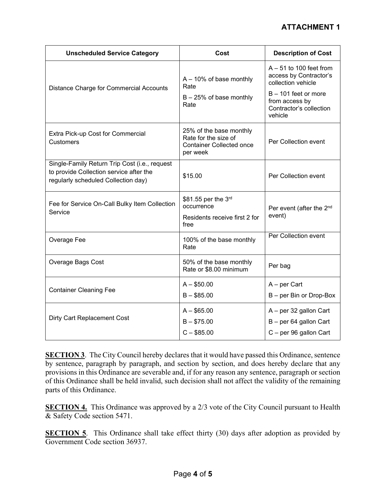| <b>Unscheduled Service Category</b>                                                                                             | Cost                                                                                           | <b>Description of Cost</b>                                                                                                                                |
|---------------------------------------------------------------------------------------------------------------------------------|------------------------------------------------------------------------------------------------|-----------------------------------------------------------------------------------------------------------------------------------------------------------|
| Distance Charge for Commercial Accounts                                                                                         | $A - 10\%$ of base monthly<br>Rate<br>$B - 25%$ of base monthly<br>Rate                        | $A - 51$ to 100 feet from<br>access by Contractor's<br>collection vehicle<br>B - 101 feet or more<br>from access by<br>Contractor's collection<br>vehicle |
| Extra Pick-up Cost for Commercial<br><b>Customers</b>                                                                           | 25% of the base monthly<br>Rate for the size of<br><b>Container Collected once</b><br>per week | Per Collection event                                                                                                                                      |
| Single-Family Return Trip Cost (i.e., request<br>to provide Collection service after the<br>regularly scheduled Collection day) | \$15.00                                                                                        | Per Collection event                                                                                                                                      |
| Fee for Service On-Call Bulky Item Collection<br>Service                                                                        | \$81.55 per the 3rd<br>occurrence<br>Residents receive first 2 for<br>free                     | Per event (after the 2 <sup>nd</sup><br>event)                                                                                                            |
| Overage Fee                                                                                                                     | 100% of the base monthly<br>Rate                                                               | Per Collection event                                                                                                                                      |
| Overage Bags Cost                                                                                                               | 50% of the base monthly<br>Rate or \$8.00 minimum                                              | Per bag                                                                                                                                                   |
| <b>Container Cleaning Fee</b>                                                                                                   | $A - $50.00$<br>$B - $85.00$                                                                   | A – per Cart<br>B - per Bin or Drop-Box                                                                                                                   |
| Dirty Cart Replacement Cost                                                                                                     | $A - $65.00$<br>$B - $75.00$<br>$C - $85.00$                                                   | A - per 32 gallon Cart<br>B - per 64 gallon Cart<br>C - per 96 gallon Cart                                                                                |

**SECTION 3**. The City Council hereby declares that it would have passed this Ordinance, sentence by sentence, paragraph by paragraph, and section by section, and does hereby declare that any provisions in this Ordinance are severable and, if for any reason any sentence, paragraph or section of this Ordinance shall be held invalid, such decision shall not affect the validity of the remaining parts of this Ordinance.

**SECTION 4.** This Ordinance was approved by a 2/3 vote of the City Council pursuant to Health & Safety Code section 5471.

**SECTION 5**. This Ordinance shall take effect thirty (30) days after adoption as provided by Government Code section 36937.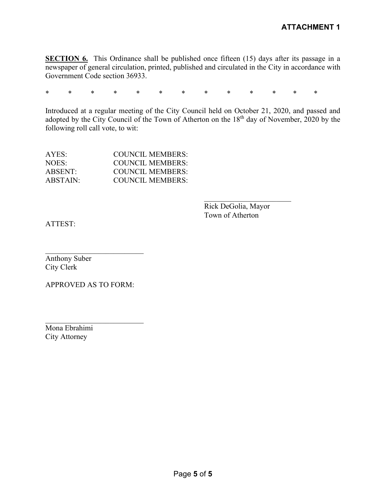**SECTION 6.** This Ordinance shall be published once fifteen (15) days after its passage in a newspaper of general circulation, printed, published and circulated in the City in accordance with Government Code section 36933.

\* \* \* \* \* \* \* \* \* \* \* \* \*

Introduced at a regular meeting of the City Council held on October 21, 2020, and passed and adopted by the City Council of the Town of Atherton on the 18<sup>th</sup> day of November, 2020 by the following roll call vote, to wit:

| AYES:    | COUNCIL MEMBERS: |
|----------|------------------|
| NOES:    | COUNCIL MEMBERS: |
| ABSENT:  | COUNCIL MEMBERS: |
| ABSTAIN: | COUNCIL MEMBERS: |

Rick DeGolia, Mayor Town of Atherton

ATTEST:

\_\_\_\_\_\_\_\_\_\_\_\_\_\_\_\_\_\_\_\_\_\_\_\_\_\_ Anthony Suber City Clerk

APPROVED AS TO FORM:

 $\mathcal{L}_\text{max}$  , where  $\mathcal{L}_\text{max}$  and  $\mathcal{L}_\text{max}$ 

Mona Ebrahimi City Attorney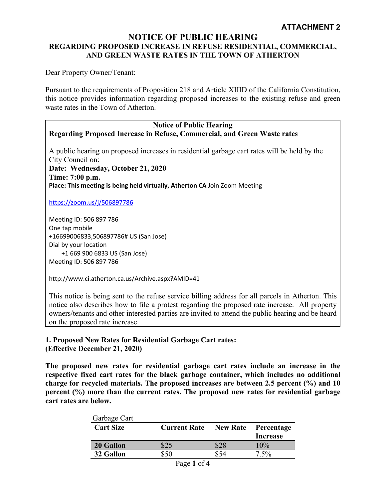#### **ATTACHMENT 2**

#### **NOTICE OF PUBLIC HEARING REGARDING PROPOSED INCREASE IN REFUSE RESIDENTIAL, COMMERCIAL, AND GREEN WASTE RATES IN THE TOWN OF ATHERTON**

Dear Property Owner/Tenant:

Pursuant to the requirements of Proposition 218 and Article XIIID of the California Constitution, this notice provides information regarding proposed increases to the existing refuse and green waste rates in the Town of Atherton.

#### **Notice of Public Hearing Regarding Proposed Increase in Refuse, Commercial, and Green Waste rates**

A public hearing on proposed increases in residential garbage cart rates will be held by the City Council on: **Date: Wednesday, October 21, 2020 Time: 7:00 p.m. Place: This meeting is being held virtually, Atherton CA** Join Zoom Meeting

<https://zoom.us/j/506897786>

Meeting ID: 506 897 786 One tap mobile +16699006833,506897786# US (San Jose) Dial by your location +1 669 900 6833 US (San Jose) Meeting ID: 506 897 786

http://www.ci.atherton.ca.us/Archive.aspx?AMID=41

This notice is being sent to the refuse service billing address for all parcels in Atherton. This notice also describes how to file a protest regarding the proposed rate increase. All property owners/tenants and other interested parties are invited to attend the public hearing and be heard on the proposed rate increase.

#### **1. Proposed New Rates for Residential Garbage Cart rates: (Effective December 21, 2020)**

**The proposed new rates for residential garbage cart rates include an increase in the respective fixed cart rates for the black garbage container, which includes no additional charge for recycled materials. The proposed increases are between 2.5 percent (%) and 10 percent (%) more than the current rates. The proposed new rates for residential garbage cart rates are below.**

| Garbage Cart     |                     |                 |                               |
|------------------|---------------------|-----------------|-------------------------------|
| <b>Cart Size</b> | <b>Current Rate</b> | <b>New Rate</b> | Percentage<br><b>Increase</b> |
| 20 Gallon        | \$25                | \$28            | 10%                           |
| 32 Gallon        | \$50                | \$54            | $7.5\%$                       |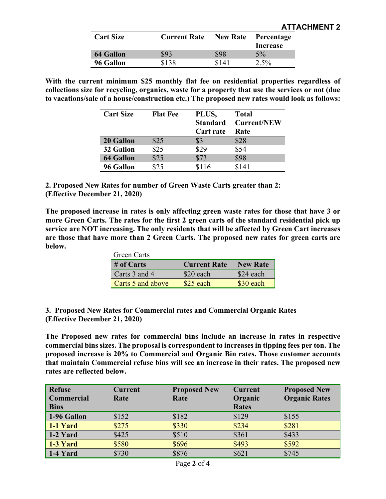| <b>Cart Size</b> | <b>Current Rate</b> | <b>New Rate</b> | Percentage |
|------------------|---------------------|-----------------|------------|
|                  |                     |                 | Increase   |
| 64 Gallon        | \$93                | \$98            | $5\%$      |
| 96 Gallon        | \$138               | \$141           | $2.5\%$    |

**With the current minimum \$25 monthly flat fee on residential properties regardless of collections size for recycling, organics, waste for a property that use the services or not (due to vacations/sale of a house/construction etc.) The proposed new rates would look as follows:**

| <b>Cart Size</b> | <b>Flat Fee</b> | PLUS,<br><b>Standard</b><br><b>Cart rate</b> | <b>Total</b><br><b>Current/NEW</b><br>Rate |
|------------------|-----------------|----------------------------------------------|--------------------------------------------|
| 20 Gallon        | \$25            | \$3                                          | \$28                                       |
| 32 Gallon        | \$25            | \$29                                         | \$54                                       |
| <b>64 Gallon</b> | \$25            | \$73                                         | \$98                                       |
| 96 Gallon        | \$25            | \$116                                        | \$141                                      |

**2. Proposed New Rates for number of Green Waste Carts greater than 2: (Effective December 21, 2020)**

**The proposed increase in rates is only affecting green waste rates for those that have 3 or more Green Carts. The rates for the first 2 green carts of the standard residential pick up service are NOT increasing. The only residents that will be affected by Green Cart increases are those that have more than 2 Green Carts. The proposed new rates for green carts are below.**

| Green Carts       |                     |                 |
|-------------------|---------------------|-----------------|
| $#$ of Carts      | <b>Current Rate</b> | <b>New Rate</b> |
| Carts 3 and 4     | \$20 each           | \$24 each       |
| Carts 5 and above | $$25$ each          | \$30 each       |

**3. Proposed New Rates for Commercial rates and Commercial Organic Rates (Effective December 21, 2020)**

**The Proposed new rates for commercial bins include an increase in rates in respective commercial bins sizes. The proposal is correspondent to increases in tipping fees per ton. The proposed increase is 20% to Commercial and Organic Bin rates. Those customer accounts that maintain Commercial refuse bins will see an increase in their rates. The proposed new rates are reflected below.**

| <b>Refuse</b><br><b>Commercial</b><br><b>Bins</b> | <b>Current</b><br>Rate | <b>Proposed New</b><br>Rate | <b>Current</b><br>Organic<br><b>Rates</b> | <b>Proposed New</b><br><b>Organic Rates</b> |
|---------------------------------------------------|------------------------|-----------------------------|-------------------------------------------|---------------------------------------------|
| 1-96 Gallon                                       | \$152                  | \$182                       | \$129                                     | \$155                                       |
| 1-1 Yard                                          | \$275                  | \$330                       | \$234                                     | \$281                                       |
| 1-2 Yard                                          | \$425                  | \$510                       | \$361                                     | \$433                                       |
| 1-3 Yard                                          | \$580                  | \$696                       | \$493                                     | \$592                                       |
| 1-4 Yard                                          | \$730                  | \$876                       | \$621                                     | \$745                                       |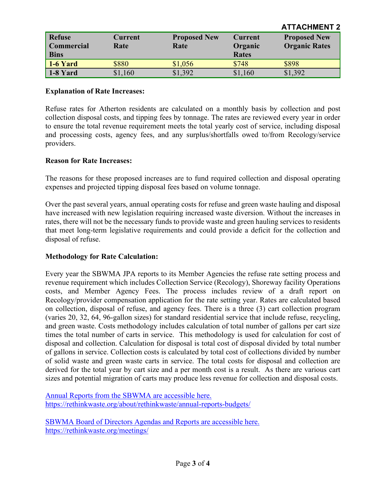|                   |                |                     |                | AU AVIIILIJI 4       |
|-------------------|----------------|---------------------|----------------|----------------------|
| <b>Refuse</b>     | <b>Current</b> | <b>Proposed New</b> | <b>Current</b> | <b>Proposed New</b>  |
| <b>Commercial</b> | Rate           | Rate                | Organic        | <b>Organic Rates</b> |
| <b>Bins</b>       |                |                     | <b>Rates</b>   |                      |
| $1-6$ Yard        | \$880          | \$1,056             | \$748          | \$898                |
| $1-8$ Yard        | \$1,160        | \$1,392             | \$1,160        | \$1,392              |

**ATTACHMENT 2**

#### **Explanation of Rate Increases:**

Refuse rates for Atherton residents are calculated on a monthly basis by collection and post collection disposal costs, and tipping fees by tonnage. The rates are reviewed every year in order to ensure the total revenue requirement meets the total yearly cost of service, including disposal and processing costs, agency fees, and any surplus/shortfalls owed to/from Recology/service providers.

#### **Reason for Rate Increases:**

The reasons for these proposed increases are to fund required collection and disposal operating expenses and projected tipping disposal fees based on volume tonnage.

Over the past several years, annual operating costs for refuse and green waste hauling and disposal have increased with new legislation requiring increased waste diversion. Without the increases in rates, there will not be the necessary funds to provide waste and green hauling services to residents that meet long-term legislative requirements and could provide a deficit for the collection and disposal of refuse.

#### **Methodology for Rate Calculation:**

Every year the SBWMA JPA reports to its Member Agencies the refuse rate setting process and revenue requirement which includes Collection Service (Recology), Shoreway facility Operations costs, and Member Agency Fees. The process includes review of a draft report on Recology/provider compensation application for the rate setting year. Rates are calculated based on collection, disposal of refuse, and agency fees. There is a three (3) cart collection program (varies 20, 32, 64, 96-gallon sizes) for standard residential service that include refuse, recycling, and green waste. Costs methodology includes calculation of total number of gallons per cart size times the total number of carts in service. This methodology is used for calculation for cost of disposal and collection. Calculation for disposal is total cost of disposal divided by total number of gallons in service. Collection costs is calculated by total cost of collections divided by number of solid waste and green waste carts in service. The total costs for disposal and collection are derived for the total year by cart size and a per month cost is a result. As there are various cart sizes and potential migration of carts may produce less revenue for collection and disposal costs.

[Annual Reports from the SBWMA are accessible here.](https://rethinkwaste.org/about/rethinkwaste/annual-reports-budgets/) <https://rethinkwaste.org/about/rethinkwaste/annual-reports-budgets/>

[SBWMA Board of Directors Agendas and Reports are accessible here.](https://rethinkwaste.org/meetings/) <https://rethinkwaste.org/meetings/>